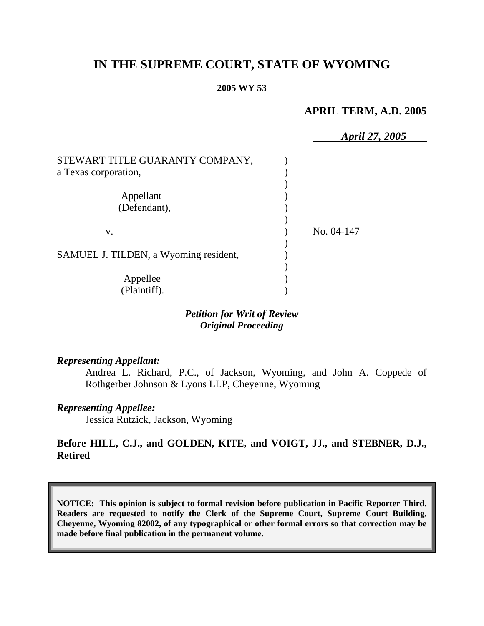# **IN THE SUPREME COURT, STATE OF WYOMING**

#### **2005 WY 53**

## **APRIL TERM, A.D. 2005**

|                                                         | April 27, 2005 |
|---------------------------------------------------------|----------------|
| STEWART TITLE GUARANTY COMPANY,<br>a Texas corporation, |                |
| Appellant<br>(Defendant),                               |                |
| V.                                                      | No. 04-147     |
| SAMUEL J. TILDEN, a Wyoming resident,                   |                |
| Appellee<br>(Plaintiff).                                |                |

### *Petition for Writ of Review Original Proceeding*

#### *Representing Appellant:*

Andrea L. Richard, P.C., of Jackson, Wyoming, and John A. Coppede of Rothgerber Johnson & Lyons LLP, Cheyenne, Wyoming

#### *Representing Appellee:*

Jessica Rutzick, Jackson, Wyoming

### **Before HILL, C.J., and GOLDEN, KITE, and VOIGT, JJ., and STEBNER, D.J., Retired**

**NOTICE: This opinion is subject to formal revision before publication in Pacific Reporter Third. Readers are requested to notify the Clerk of the Supreme Court, Supreme Court Building, Cheyenne, Wyoming 82002, of any typographical or other formal errors so that correction may be made before final publication in the permanent volume.**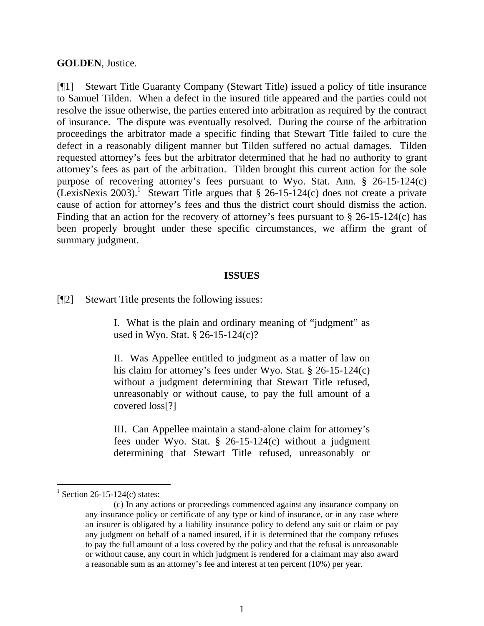#### **GOLDEN**, Justice.

[¶1] Stewart Title Guaranty Company (Stewart Title) issued a policy of title insurance to Samuel Tilden. When a defect in the insured title appeared and the parties could not resolve the issue otherwise, the parties entered into arbitration as required by the contract of insurance. The dispute was eventually resolved. During the course of the arbitration proceedings the arbitrator made a specific finding that Stewart Title failed to cure the defect in a reasonably diligent manner but Tilden suffered no actual damages. Tilden requested attorney's fees but the arbitrator determined that he had no authority to grant attorney's fees as part of the arbitration. Tilden brought this current action for the sole purpose of recovering attorney's fees pursuant to Wyo. Stat. Ann. § 26-15-124(c) (LexisNexis 2003).<sup>1</sup> Stewart Title argues that  $\S$  26-15-124(c) does not create a private cause of action for attorney's fees and thus the district court should dismiss the action. Finding that an action for the recovery of attorney's fees pursuant to § 26-15-124(c) has been properly brought under these specific circumstances, we affirm the grant of summary judgment.

#### **ISSUES**

[¶2] Stewart Title presents the following issues:

I. What is the plain and ordinary meaning of "judgment" as used in Wyo. Stat. § 26-15-124(c)?

II. Was Appellee entitled to judgment as a matter of law on his claim for attorney's fees under Wyo. Stat. § 26-15-124(c) without a judgment determining that Stewart Title refused, unreasonably or without cause, to pay the full amount of a covered loss[?]

III. Can Appellee maintain a stand-alone claim for attorney's fees under Wyo. Stat. § 26-15-124(c) without a judgment determining that Stewart Title refused, unreasonably or

 $\overline{a}$ 

<sup>&</sup>lt;sup>1</sup> Section 26-15-124(c) states:

<sup>(</sup>c) In any actions or proceedings commenced against any insurance company on any insurance policy or certificate of any type or kind of insurance, or in any case where an insurer is obligated by a liability insurance policy to defend any suit or claim or pay any judgment on behalf of a named insured, if it is determined that the company refuses to pay the full amount of a loss covered by the policy and that the refusal is unreasonable or without cause, any court in which judgment is rendered for a claimant may also award a reasonable sum as an attorney's fee and interest at ten percent (10%) per year.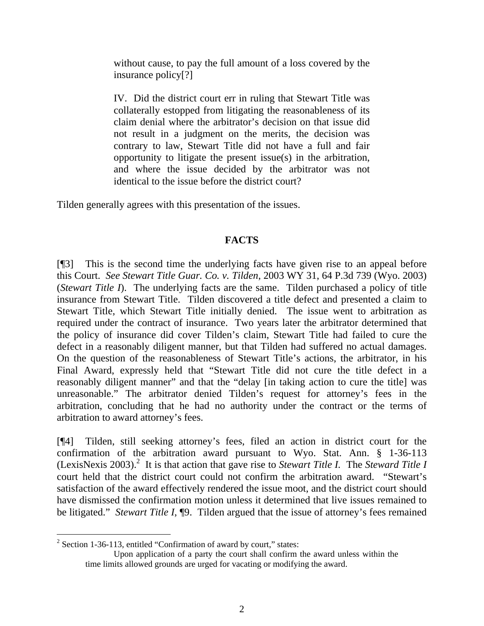without cause, to pay the full amount of a loss covered by the insurance policy[?]

IV. Did the district court err in ruling that Stewart Title was collaterally estopped from litigating the reasonableness of its claim denial where the arbitrator's decision on that issue did not result in a judgment on the merits, the decision was contrary to law, Stewart Title did not have a full and fair opportunity to litigate the present issue(s) in the arbitration, and where the issue decided by the arbitrator was not identical to the issue before the district court?

Tilden generally agrees with this presentation of the issues.

# **FACTS**

[¶3] This is the second time the underlying facts have given rise to an appeal before this Court. *See Stewart Title Guar. Co. v. Tilden*, 2003 WY 31, 64 P.3d 739 (Wyo. 2003) (*Stewart Title I*). The underlying facts are the same. Tilden purchased a policy of title insurance from Stewart Title. Tilden discovered a title defect and presented a claim to Stewart Title, which Stewart Title initially denied. The issue went to arbitration as required under the contract of insurance. Two years later the arbitrator determined that the policy of insurance did cover Tilden's claim, Stewart Title had failed to cure the defect in a reasonably diligent manner, but that Tilden had suffered no actual damages. On the question of the reasonableness of Stewart Title's actions, the arbitrator, in his Final Award, expressly held that "Stewart Title did not cure the title defect in a reasonably diligent manner" and that the "delay [in taking action to cure the title] was unreasonable." The arbitrator denied Tilden's request for attorney's fees in the arbitration, concluding that he had no authority under the contract or the terms of arbitration to award attorney's fees.

[¶4] Tilden, still seeking attorney's fees, filed an action in district court for the confirmation of the arbitration award pursuant to Wyo. Stat. Ann. § 1-36-113 (LexisNexis 2003).<sup>2</sup> It is that action that gave rise to *Stewart Title I*. The *Steward Title I* court held that the district court could not confirm the arbitration award. "Stewart's satisfaction of the award effectively rendered the issue moot, and the district court should have dismissed the confirmation motion unless it determined that live issues remained to be litigated." *Stewart Title I*, ¶9. Tilden argued that the issue of attorney's fees remained

  $2^2$  Section 1-36-113, entitled "Confirmation of award by court," states:

Upon application of a party the court shall confirm the award unless within the time limits allowed grounds are urged for vacating or modifying the award.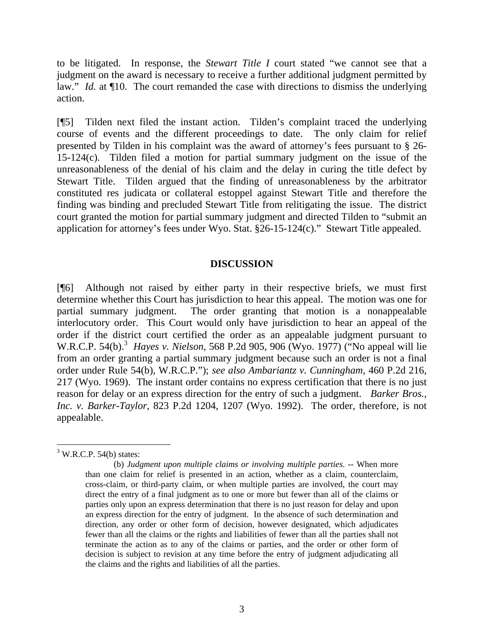to be litigated. In response, the *Stewart Title I* court stated "we cannot see that a judgment on the award is necessary to receive a further additional judgment permitted by law." *Id.* at  $\P$ 10. The court remanded the case with directions to dismiss the underlying action.

[¶5] Tilden next filed the instant action. Tilden's complaint traced the underlying course of events and the different proceedings to date. The only claim for relief presented by Tilden in his complaint was the award of attorney's fees pursuant to § 26- 15-124(c). Tilden filed a motion for partial summary judgment on the issue of the unreasonableness of the denial of his claim and the delay in curing the title defect by Stewart Title. Tilden argued that the finding of unreasonableness by the arbitrator constituted res judicata or collateral estoppel against Stewart Title and therefore the finding was binding and precluded Stewart Title from relitigating the issue. The district court granted the motion for partial summary judgment and directed Tilden to "submit an application for attorney's fees under Wyo. Stat. §26-15-124(c)." Stewart Title appealed.

### **DISCUSSION**

[¶6] Although not raised by either party in their respective briefs, we must first determine whether this Court has jurisdiction to hear this appeal. The motion was one for partial summary judgment. The order granting that motion is a nonappealable interlocutory order. This Court would only have jurisdiction to hear an appeal of the order if the district court certified the order as an appealable judgment pursuant to W.R.C.P. 54(b).<sup>3</sup> Hayes v. Nielson, 568 P.2d 905, 906 (Wyo. 1977) ("No appeal will lie from an order granting a partial summary judgment because such an order is not a final order under Rule 54(b), W.R.C.P."); *see also Ambariantz v. Cunningham*, 460 P.2d 216, 217 (Wyo. 1969). The instant order contains no express certification that there is no just reason for delay or an express direction for the entry of such a judgment. *Barker Bros., Inc. v. Barker-Taylor*, 823 P.2d 1204, 1207 (Wyo. 1992). The order, therefore, is not appealable.

 $\overline{a}$  $3$  W.R.C.P. 54(b) states:

<sup>(</sup>b) *Judgment upon multiple claims or involving multiple parties*. -- When more than one claim for relief is presented in an action, whether as a claim, counterclaim, cross-claim, or third-party claim, or when multiple parties are involved, the court may direct the entry of a final judgment as to one or more but fewer than all of the claims or parties only upon an express determination that there is no just reason for delay and upon an express direction for the entry of judgment. In the absence of such determination and direction, any order or other form of decision, however designated, which adjudicates fewer than all the claims or the rights and liabilities of fewer than all the parties shall not terminate the action as to any of the claims or parties, and the order or other form of decision is subject to revision at any time before the entry of judgment adjudicating all the claims and the rights and liabilities of all the parties.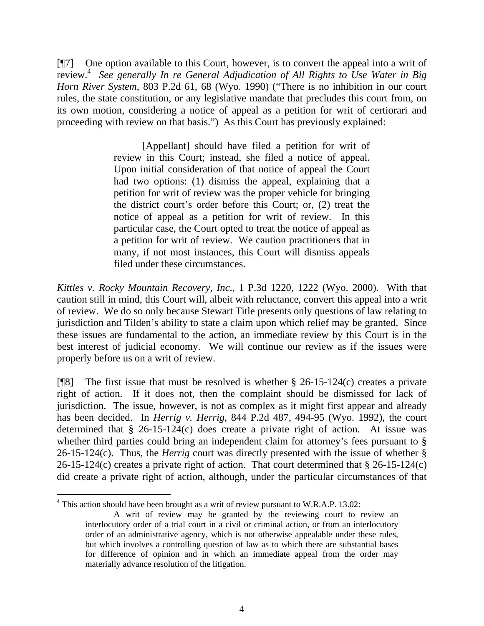[¶7] One option available to this Court, however, is to convert the appeal into a writ of review.4 *See generally In re General Adjudication of All Rights to Use Water in Big Horn River System*, 803 P.2d 61, 68 (Wyo. 1990) ("There is no inhibition in our court rules, the state constitution, or any legislative mandate that precludes this court from, on its own motion, considering a notice of appeal as a petition for writ of certiorari and proceeding with review on that basis.") As this Court has previously explained:

> [Appellant] should have filed a petition for writ of review in this Court; instead, she filed a notice of appeal. Upon initial consideration of that notice of appeal the Court had two options: (1) dismiss the appeal, explaining that a petition for writ of review was the proper vehicle for bringing the district court's order before this Court; or, (2) treat the notice of appeal as a petition for writ of review. In this particular case, the Court opted to treat the notice of appeal as a petition for writ of review. We caution practitioners that in many, if not most instances, this Court will dismiss appeals filed under these circumstances.

*Kittles v. Rocky Mountain Recovery, Inc*., 1 P.3d 1220, 1222 (Wyo. 2000). With that caution still in mind, this Court will, albeit with reluctance, convert this appeal into a writ of review. We do so only because Stewart Title presents only questions of law relating to jurisdiction and Tilden's ability to state a claim upon which relief may be granted. Since these issues are fundamental to the action, an immediate review by this Court is in the best interest of judicial economy. We will continue our review as if the issues were properly before us on a writ of review.

[ $[$ [8] The first issue that must be resolved is whether § 26-15-124(c) creates a private right of action. If it does not, then the complaint should be dismissed for lack of jurisdiction. The issue, however, is not as complex as it might first appear and already has been decided. In *Herrig v. Herrig,* 844 P.2d 487, 494-95 (Wyo. 1992), the court determined that § 26-15-124(c) does create a private right of action. At issue was whether third parties could bring an independent claim for attorney's fees pursuant to  $\S$ 26-15-124(c). Thus, the *Herrig* court was directly presented with the issue of whether § 26-15-124(c) creates a private right of action. That court determined that § 26-15-124(c) did create a private right of action, although, under the particular circumstances of that

 $4$  This action should have been brought as a writ of review pursuant to W.R.A.P. 13.02:

A writ of review may be granted by the reviewing court to review an interlocutory order of a trial court in a civil or criminal action, or from an interlocutory order of an administrative agency, which is not otherwise appealable under these rules, but which involves a controlling question of law as to which there are substantial bases for difference of opinion and in which an immediate appeal from the order may materially advance resolution of the litigation.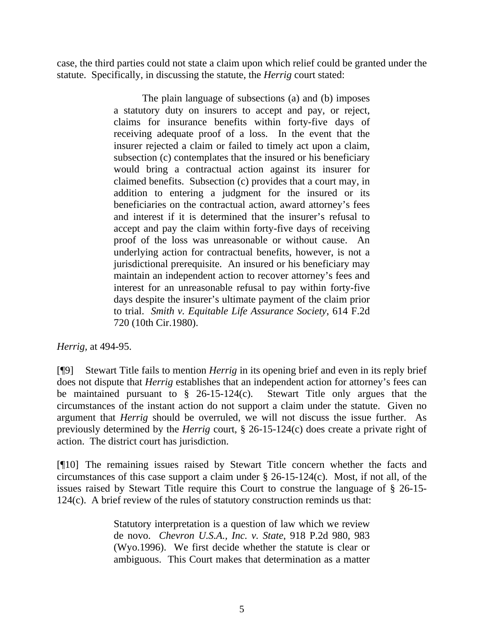case, the third parties could not state a claim upon which relief could be granted under the statute. Specifically, in discussing the statute, the *Herrig* court stated:

> The plain language of subsections (a) and (b) imposes a statutory duty on insurers to accept and pay, or reject, claims for insurance benefits within forty-five days of receiving adequate proof of a loss. In the event that the insurer rejected a claim or failed to timely act upon a claim, subsection (c) contemplates that the insured or his beneficiary would bring a contractual action against its insurer for claimed benefits. Subsection (c) provides that a court may, in addition to entering a judgment for the insured or its beneficiaries on the contractual action, award attorney's fees and interest if it is determined that the insurer's refusal to accept and pay the claim within forty-five days of receiving proof of the loss was unreasonable or without cause. An underlying action for contractual benefits, however, is not a jurisdictional prerequisite. An insured or his beneficiary may maintain an independent action to recover attorney's fees and interest for an unreasonable refusal to pay within forty-five days despite the insurer's ultimate payment of the claim prior to trial. *Smith v. Equitable Life Assurance Society*, 614 F.2d 720 (10th Cir.1980).

### *Herrig,* at 494-95.

[¶9] Stewart Title fails to mention *Herrig* in its opening brief and even in its reply brief does not dispute that *Herrig* establishes that an independent action for attorney's fees can be maintained pursuant to  $\frac{6}{5}$  26-15-124(c). Stewart Title only argues that the circumstances of the instant action do not support a claim under the statute. Given no argument that *Herrig* should be overruled, we will not discuss the issue further. As previously determined by the *Herrig* court, § 26-15-124(c) does create a private right of action. The district court has jurisdiction.

[¶10] The remaining issues raised by Stewart Title concern whether the facts and circumstances of this case support a claim under § 26-15-124(c). Most, if not all, of the issues raised by Stewart Title require this Court to construe the language of § 26-15- 124(c). A brief review of the rules of statutory construction reminds us that:

> Statutory interpretation is a question of law which we review de novo. *Chevron U.S.A., Inc. v. State*, 918 P.2d 980, 983 (Wyo.1996). We first decide whether the statute is clear or ambiguous. This Court makes that determination as a matter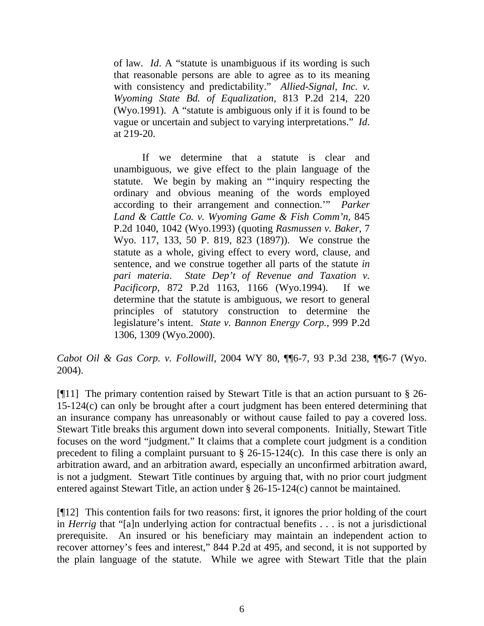of law. *Id*. A "statute is unambiguous if its wording is such that reasonable persons are able to agree as to its meaning with consistency and predictability." *Allied-Signal, Inc. v. Wyoming State Bd. of Equalization*, 813 P.2d 214, 220 (Wyo.1991). A "statute is ambiguous only if it is found to be vague or uncertain and subject to varying interpretations." *Id*. at 219-20.

If we determine that a statute is clear and unambiguous, we give effect to the plain language of the statute. We begin by making an "'inquiry respecting the ordinary and obvious meaning of the words employed according to their arrangement and connection.'" *Parker Land & Cattle Co. v. Wyoming Game & Fish Comm'n,* 845 P.2d 1040, 1042 (Wyo.1993) (quoting *Rasmussen v. Baker*, 7 Wyo. 117, 133, 50 P. 819, 823 (1897)). We construe the statute as a whole, giving effect to every word, clause, and sentence, and we construe together all parts of the statute *in pari materia*. *State Dep't of Revenue and Taxation v. Pacificorp*, 872 P.2d 1163, 1166 (Wyo.1994). If we determine that the statute is ambiguous, we resort to general principles of statutory construction to determine the legislature's intent. *State v. Bannon Energy Corp.*, 999 P.2d 1306, 1309 (Wyo.2000).

*Cabot Oil & Gas Corp. v. Followill*, 2004 WY 80, ¶¶6-7, 93 P.3d 238, ¶¶6-7 (Wyo. 2004).

[¶11] The primary contention raised by Stewart Title is that an action pursuant to § 26- 15-124(c) can only be brought after a court judgment has been entered determining that an insurance company has unreasonably or without cause failed to pay a covered loss. Stewart Title breaks this argument down into several components. Initially, Stewart Title focuses on the word "judgment." It claims that a complete court judgment is a condition precedent to filing a complaint pursuant to § 26-15-124(c). In this case there is only an arbitration award, and an arbitration award, especially an unconfirmed arbitration award, is not a judgment. Stewart Title continues by arguing that, with no prior court judgment entered against Stewart Title, an action under § 26-15-124(c) cannot be maintained.

[¶12] This contention fails for two reasons: first, it ignores the prior holding of the court in *Herrig* that "[a]n underlying action for contractual benefits . . . is not a jurisdictional prerequisite. An insured or his beneficiary may maintain an independent action to recover attorney's fees and interest," 844 P.2d at 495, and second, it is not supported by the plain language of the statute. While we agree with Stewart Title that the plain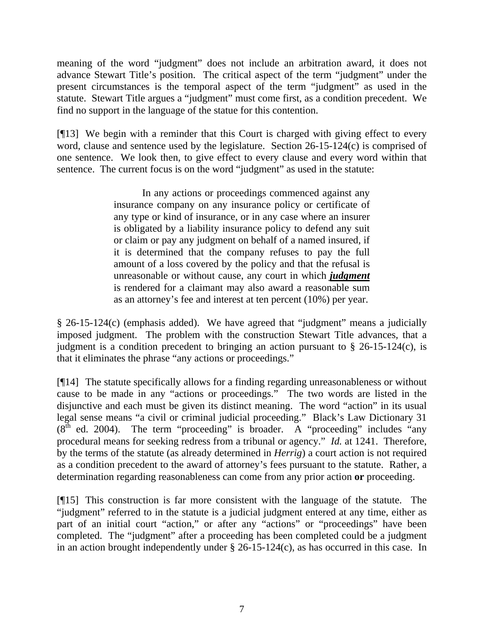meaning of the word "judgment" does not include an arbitration award, it does not advance Stewart Title's position. The critical aspect of the term "judgment" under the present circumstances is the temporal aspect of the term "judgment" as used in the statute. Stewart Title argues a "judgment" must come first, as a condition precedent. We find no support in the language of the statue for this contention.

[¶13] We begin with a reminder that this Court is charged with giving effect to every word, clause and sentence used by the legislature. Section 26-15-124(c) is comprised of one sentence. We look then, to give effect to every clause and every word within that sentence. The current focus is on the word "judgment" as used in the statute:

> In any actions or proceedings commenced against any insurance company on any insurance policy or certificate of any type or kind of insurance, or in any case where an insurer is obligated by a liability insurance policy to defend any suit or claim or pay any judgment on behalf of a named insured, if it is determined that the company refuses to pay the full amount of a loss covered by the policy and that the refusal is unreasonable or without cause, any court in which *judgment* is rendered for a claimant may also award a reasonable sum as an attorney's fee and interest at ten percent (10%) per year.

§ 26-15-124(c) (emphasis added). We have agreed that "judgment" means a judicially imposed judgment. The problem with the construction Stewart Title advances, that a judgment is a condition precedent to bringing an action pursuant to  $\S$  26-15-124(c), is that it eliminates the phrase "any actions or proceedings."

[¶14] The statute specifically allows for a finding regarding unreasonableness or without cause to be made in any "actions or proceedings." The two words are listed in the disjunctive and each must be given its distinct meaning. The word "action" in its usual legal sense means "a civil or criminal judicial proceeding." Black's Law Dictionary 31  $(8<sup>th</sup>$  ed. 2004). The term "proceeding" is broader. A "proceeding" includes "any procedural means for seeking redress from a tribunal or agency." *Id.* at 1241. Therefore, by the terms of the statute (as already determined in *Herrig*) a court action is not required as a condition precedent to the award of attorney's fees pursuant to the statute. Rather, a determination regarding reasonableness can come from any prior action **or** proceeding.

[¶15] This construction is far more consistent with the language of the statute. The "judgment" referred to in the statute is a judicial judgment entered at any time, either as part of an initial court "action," or after any "actions" or "proceedings" have been completed. The "judgment" after a proceeding has been completed could be a judgment in an action brought independently under § 26-15-124(c), as has occurred in this case. In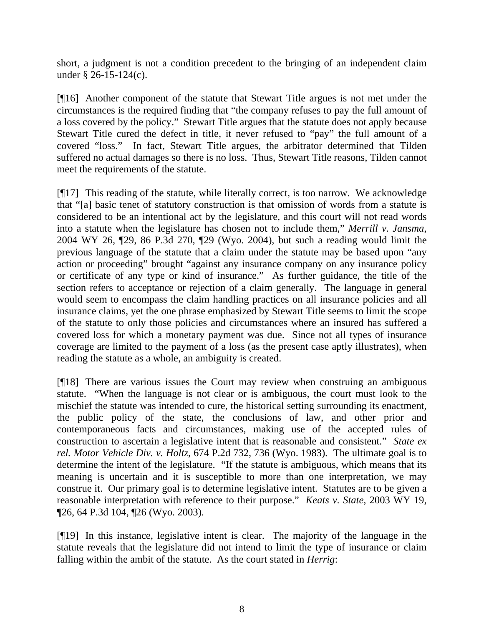short, a judgment is not a condition precedent to the bringing of an independent claim under § 26-15-124(c).

[¶16] Another component of the statute that Stewart Title argues is not met under the circumstances is the required finding that "the company refuses to pay the full amount of a loss covered by the policy." Stewart Title argues that the statute does not apply because Stewart Title cured the defect in title, it never refused to "pay" the full amount of a covered "loss." In fact, Stewart Title argues, the arbitrator determined that Tilden suffered no actual damages so there is no loss. Thus, Stewart Title reasons, Tilden cannot meet the requirements of the statute.

[¶17] This reading of the statute, while literally correct, is too narrow. We acknowledge that "[a] basic tenet of statutory construction is that omission of words from a statute is considered to be an intentional act by the legislature, and this court will not read words into a statute when the legislature has chosen not to include them," *Merrill v. Jansma*, 2004 WY 26, ¶29, 86 P.3d 270, ¶29 (Wyo. 2004), but such a reading would limit the previous language of the statute that a claim under the statute may be based upon "any action or proceeding" brought "against any insurance company on any insurance policy or certificate of any type or kind of insurance." As further guidance, the title of the section refers to acceptance or rejection of a claim generally. The language in general would seem to encompass the claim handling practices on all insurance policies and all insurance claims, yet the one phrase emphasized by Stewart Title seems to limit the scope of the statute to only those policies and circumstances where an insured has suffered a covered loss for which a monetary payment was due. Since not all types of insurance coverage are limited to the payment of a loss (as the present case aptly illustrates), when reading the statute as a whole, an ambiguity is created.

[¶18] There are various issues the Court may review when construing an ambiguous statute. "When the language is not clear or is ambiguous, the court must look to the mischief the statute was intended to cure, the historical setting surrounding its enactment, the public policy of the state, the conclusions of law, and other prior and contemporaneous facts and circumstances, making use of the accepted rules of construction to ascertain a legislative intent that is reasonable and consistent." *State ex rel. Motor Vehicle Div. v. Holtz*, 674 P.2d 732, 736 (Wyo. 1983). The ultimate goal is to determine the intent of the legislature. "If the statute is ambiguous, which means that its meaning is uncertain and it is susceptible to more than one interpretation, we may construe it. Our primary goal is to determine legislative intent. Statutes are to be given a reasonable interpretation with reference to their purpose." *Keats v. State*, 2003 WY 19, ¶26, 64 P.3d 104, ¶26 (Wyo. 2003).

[¶19] In this instance, legislative intent is clear. The majority of the language in the statute reveals that the legislature did not intend to limit the type of insurance or claim falling within the ambit of the statute. As the court stated in *Herrig*: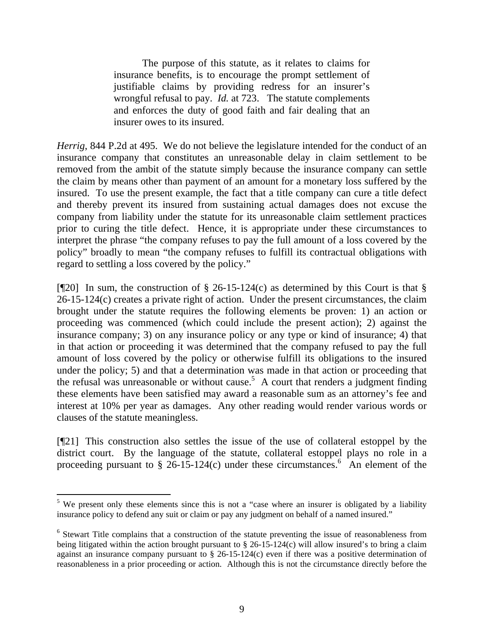The purpose of this statute, as it relates to claims for insurance benefits, is to encourage the prompt settlement of justifiable claims by providing redress for an insurer's wrongful refusal to pay. *Id.* at 723. The statute complements and enforces the duty of good faith and fair dealing that an insurer owes to its insured.

*Herrig*, 844 P.2d at 495. We do not believe the legislature intended for the conduct of an insurance company that constitutes an unreasonable delay in claim settlement to be removed from the ambit of the statute simply because the insurance company can settle the claim by means other than payment of an amount for a monetary loss suffered by the insured. To use the present example, the fact that a title company can cure a title defect and thereby prevent its insured from sustaining actual damages does not excuse the company from liability under the statute for its unreasonable claim settlement practices prior to curing the title defect. Hence, it is appropriate under these circumstances to interpret the phrase "the company refuses to pay the full amount of a loss covered by the policy" broadly to mean "the company refuses to fulfill its contractual obligations with regard to settling a loss covered by the policy."

[ $[$ [20] In sum, the construction of § 26-15-124(c) as determined by this Court is that § 26-15-124(c) creates a private right of action. Under the present circumstances, the claim brought under the statute requires the following elements be proven: 1) an action or proceeding was commenced (which could include the present action); 2) against the insurance company; 3) on any insurance policy or any type or kind of insurance; 4) that in that action or proceeding it was determined that the company refused to pay the full amount of loss covered by the policy or otherwise fulfill its obligations to the insured under the policy; 5) and that a determination was made in that action or proceeding that the refusal was unreasonable or without cause.<sup>5</sup> A court that renders a judgment finding these elements have been satisfied may award a reasonable sum as an attorney's fee and interest at 10% per year as damages. Any other reading would render various words or clauses of the statute meaningless.

[¶21] This construction also settles the issue of the use of collateral estoppel by the district court. By the language of the statute, collateral estoppel plays no role in a proceeding pursuant to  $\S$  26-15-124(c) under these circumstances.<sup>6</sup> An element of the

 $5$  We present only these elements since this is not a "case where an insurer is obligated by a liability insurance policy to defend any suit or claim or pay any judgment on behalf of a named insured."

<sup>&</sup>lt;sup>6</sup> Stewart Title complains that a construction of the statute preventing the issue of reasonableness from being litigated within the action brought pursuant to § 26-15-124(c) will allow insured's to bring a claim against an insurance company pursuant to  $\S$  26-15-124(c) even if there was a positive determination of reasonableness in a prior proceeding or action. Although this is not the circumstance directly before the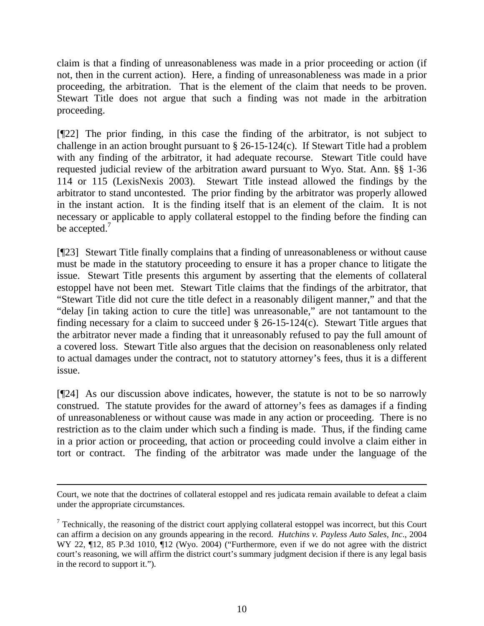claim is that a finding of unreasonableness was made in a prior proceeding or action (if not, then in the current action). Here, a finding of unreasonableness was made in a prior proceeding, the arbitration. That is the element of the claim that needs to be proven. Stewart Title does not argue that such a finding was not made in the arbitration proceeding.

[¶22] The prior finding, in this case the finding of the arbitrator, is not subject to challenge in an action brought pursuant to § 26-15-124(c). If Stewart Title had a problem with any finding of the arbitrator, it had adequate recourse. Stewart Title could have requested judicial review of the arbitration award pursuant to Wyo. Stat. Ann. §§ 1-36 114 or 115 (LexisNexis 2003). Stewart Title instead allowed the findings by the arbitrator to stand uncontested. The prior finding by the arbitrator was properly allowed in the instant action. It is the finding itself that is an element of the claim. It is not necessary or applicable to apply collateral estoppel to the finding before the finding can be accepted.<sup>7</sup>

[¶23] Stewart Title finally complains that a finding of unreasonableness or without cause must be made in the statutory proceeding to ensure it has a proper chance to litigate the issue. Stewart Title presents this argument by asserting that the elements of collateral estoppel have not been met. Stewart Title claims that the findings of the arbitrator, that "Stewart Title did not cure the title defect in a reasonably diligent manner," and that the "delay [in taking action to cure the title] was unreasonable," are not tantamount to the finding necessary for a claim to succeed under  $\S$  26-15-124(c). Stewart Title argues that the arbitrator never made a finding that it unreasonably refused to pay the full amount of a covered loss. Stewart Title also argues that the decision on reasonableness only related to actual damages under the contract, not to statutory attorney's fees, thus it is a different issue.

[¶24] As our discussion above indicates, however, the statute is not to be so narrowly construed. The statute provides for the award of attorney's fees as damages if a finding of unreasonableness or without cause was made in any action or proceeding. There is no restriction as to the claim under which such a finding is made. Thus, if the finding came in a prior action or proceeding, that action or proceeding could involve a claim either in tort or contract. The finding of the arbitrator was made under the language of the

 $\overline{a}$ 

Court, we note that the doctrines of collateral estoppel and res judicata remain available to defeat a claim under the appropriate circumstances.

 $7$  Technically, the reasoning of the district court applying collateral estoppel was incorrect, but this Court can affirm a decision on any grounds appearing in the record. *Hutchins v. Payless Auto Sales, Inc*., 2004 WY 22,  $\P$ 12, 85 P.3d 1010,  $\P$ 12 (Wyo. 2004) ("Furthermore, even if we do not agree with the district court's reasoning, we will affirm the district court's summary judgment decision if there is any legal basis in the record to support it.").